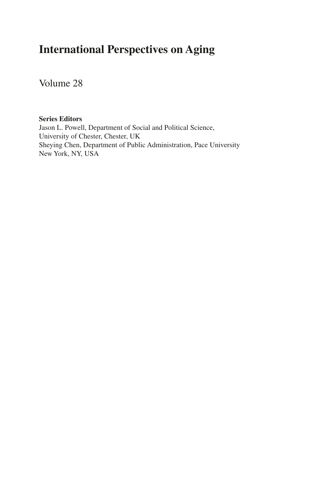## **International Perspectives on Aging**

Volume 28

#### **Series Editors**

Jason L. Powell, Department of Social and Political Science, University of Chester, Chester, UK Sheying Chen, Department of Public Administration, Pace University New York, NY, USA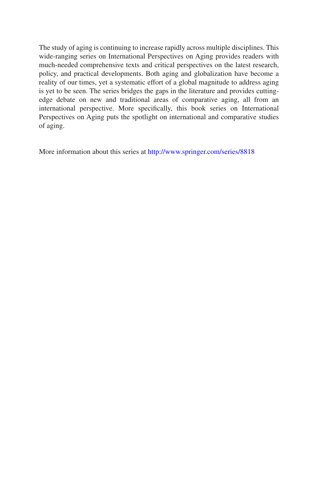The study of aging is continuing to increase rapidly across multiple disciplines. This wide-ranging series on International Perspectives on Aging provides readers with much-needed comprehensive texts and critical perspectives on the latest research, policy, and practical developments. Both aging and globalization have become a reality of our times, yet a systematic effort of a global magnitude to address aging is yet to be seen. The series bridges the gaps in the literature and provides cuttingedge debate on new and traditional areas of comparative aging, all from an international perspective. More specifcally, this book series on International Perspectives on Aging puts the spotlight on international and comparative studies of aging.

More information about this series at<http://www.springer.com/series/8818>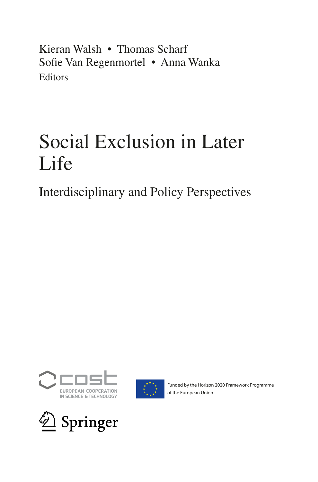Kieran Walsh • Thomas Scharf Sofe Van Regenmortel • Anna Wanka **Editors** 

# Social Exclusion in Later Life

Interdisciplinary and Policy Perspectives





Funded by the Horizon 2020 Framework Programme of the European Union

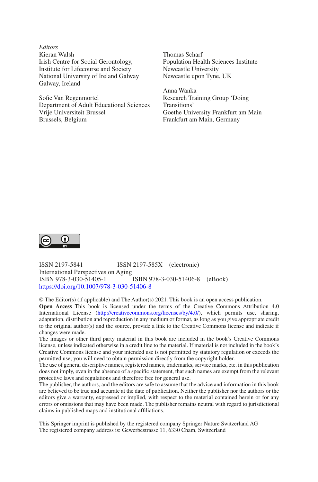*Editors* Kieran Walsh Irish Centre for Social Gerontology, Institute for Lifecourse and Society National University of Ireland Galway Galway, Ireland

Sofe Van Regenmortel Department of Adult Educational Sciences Vrije Universiteit Brussel Brussels, Belgium

Thomas Scharf Population Health Sciences Institute Newcastle University Newcastle upon Tyne, UK

Anna Wanka Research Training Group 'Doing Transitions' Goethe University Frankfurt am Main Frankfurt am Main, Germany



ISSN 2197-5841 ISSN 2197-585X (electronic) International Perspectives on Aging ISBN 978-3-030-51405-1 ISBN 978-3-030-51406-8 (eBook) <https://doi.org/10.1007/978-3-030-51406-8>

© The Editor(s) (if applicable) and The Author(s) 2021 . This book is an open access publication.**Open Access** This book is licensed under the terms of the Creative Commons Attribution 4.0 International License ([http://creativecommons.org/licenses/by/4.0/\)](http://creativecommons.org/licenses/by/4.0/), which permits use, sharing, adaptation, distribution and reproduction in any medium or format, as long as you give appropriate credit to the original author(s) and the source, provide a link to the Creative Commons license and indicate if changes were made.

The images or other third party material in this book are included in the book's Creative Commons license, unless indicated otherwise in a credit line to the material. If material is not included in the book's Creative Commons license and your intended use is not permitted by statutory regulation or exceeds the permitted use, you will need to obtain permission directly from the copyright holder.

The use of general descriptive names, registered names, trademarks, service marks, etc. in this publication does not imply, even in the absence of a specific statement, that such names are exempt from the relevant protective laws and regulations and therefore free for general use.

The publisher, the authors, and the editors are safe to assume that the advice and information in this book are believed to be true and accurate at the date of publication. Neither the publisher nor the authors or the editors give a warranty, expressed or implied, with respect to the material contained herein or for any errors or omissions that may have been made. The publisher remains neutral with regard to jurisdictional claims in published maps and institutional affliations.

This Springer imprint is published by the registered company Springer Nature Switzerland AG The registered company address is: Gewerbestrasse 11, 6330 Cham, Switzerland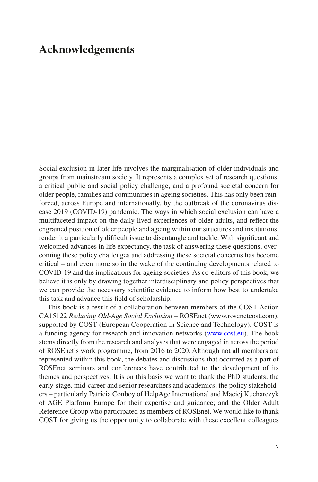## **Acknowledgements**

Social exclusion in later life involves the marginalisation of older individuals and groups from mainstream society. It represents a complex set of research questions, a critical public and social policy challenge, and a profound societal concern for older people, families and communities in ageing societies. This has only been reinforced, across Europe and internationally, by the outbreak of the coronavirus disease 2019 (COVID-19) pandemic. The ways in which social exclusion can have a multifaceted impact on the daily lived experiences of older adults, and refect the engrained position of older people and ageing within our structures and institutions, render it a particularly diffcult issue to disentangle and tackle. With signifcant and welcomed advances in life expectancy, the task of answering these questions, overcoming these policy challenges and addressing these societal concerns has become critical – and even more so in the wake of the continuing developments related to COVID-19 and the implications for ageing societies. As co-editors of this book, we believe it is only by drawing together interdisciplinary and policy perspectives that we can provide the necessary scientifc evidence to inform how best to undertake this task and advance this feld of scholarship.

This book is a result of a collaboration between members of the COST Action CA15122 *Reducing Old-Age Social Exclusion* – ROSEnet (www.rosenetcost.com), supported by COST (European Cooperation in Science and Technology). COST is a funding agency for research and innovation networks [\(www.cost.eu\)](http://www.cost.eu). The book stems directly from the research and analyses that were engaged in across the period of ROSEnet's work programme, from 2016 to 2020. Although not all members are represented within this book, the debates and discussions that occurred as a part of ROSEnet seminars and conferences have contributed to the development of its themes and perspectives. It is on this basis we want to thank the PhD students; the early-stage, mid-career and senior researchers and academics; the policy stakeholders – particularly Patricia Conboy of HelpAge International and Maciej Kucharczyk of AGE Platform Europe for their expertise and guidance; and the Older Adult Reference Group who participated as members of ROSEnet. We would like to thank COST for giving us the opportunity to collaborate with these excellent colleagues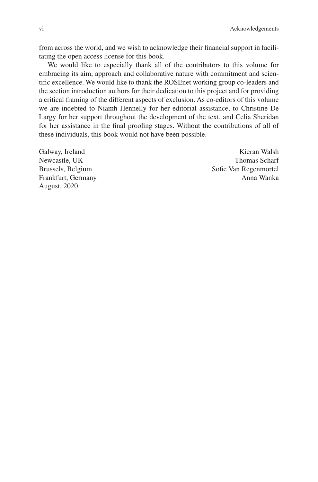from across the world, and we wish to acknowledge their fnancial support in facilitating the open access license for this book.

We would like to especially thank all of the contributors to this volume for embracing its aim, approach and collaborative nature with commitment and scientifc excellence. We would like to thank the ROSEnet working group co-leaders and the section introduction authors for their dedication to this project and for providing a critical framing of the different aspects of exclusion. As co-editors of this volume we are indebted to Niamh Hennelly for her editorial assistance, to Christine De Largy for her support throughout the development of the text, and Celia Sheridan for her assistance in the fnal proofng stages. Without the contributions of all of these individuals, this book would not have been possible.

August, 2020

Galway, Ireland **Kieran Walsh** Newcastle, UK Thomas Scharf Brussels, Belgium Sofie Van Regenmortel Frankfurt, Germany **Anna Wanka**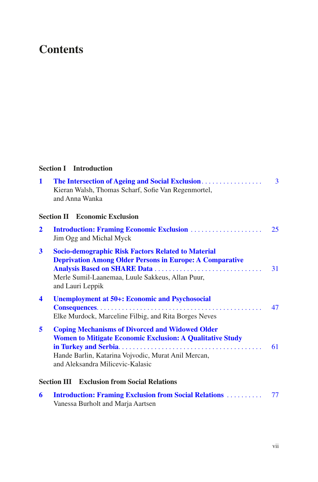## **Contents**

### **Section I Introduction**

| $\mathbf{1}$         | Kieran Walsh, Thomas Scharf, Sofie Van Regenmortel,<br>and Anna Wanka                                                                                                                                                 | 3  |
|----------------------|-----------------------------------------------------------------------------------------------------------------------------------------------------------------------------------------------------------------------|----|
|                      | <b>Section II Economic Exclusion</b>                                                                                                                                                                                  |    |
| $\mathbf{2}$         | <b>Introduction: Framing Economic Exclusion </b><br>Jim Ogg and Michal Myck                                                                                                                                           | 25 |
| 3                    | <b>Socio-demographic Risk Factors Related to Material</b><br><b>Deprivation Among Older Persons in Europe: A Comparative</b><br>Merle Sumil-Laanemaa, Luule Sakkeus, Allan Puur,<br>and Lauri Leppik                  | 31 |
| $\blacktriangleleft$ | <b>Unemployment at 50+: Economic and Psychosocial</b><br>Elke Murdock, Marceline Filbig, and Rita Borges Neves                                                                                                        | 47 |
| 5                    | <b>Coping Mechanisms of Divorced and Widowed Older</b><br><b>Women to Mitigate Economic Exclusion: A Qualitative Study</b><br>Hande Barlin, Katarina Vojvodic, Murat Anil Mercan,<br>and Aleksandra Milicevic-Kalasic | 61 |
|                      | <b>Section III Exclusion from Social Relations</b>                                                                                                                                                                    |    |
| 6                    | <b>Introduction: Framing Exclusion from Social Relations </b><br>Vanessa Burholt and Marja Aartsen                                                                                                                    | 77 |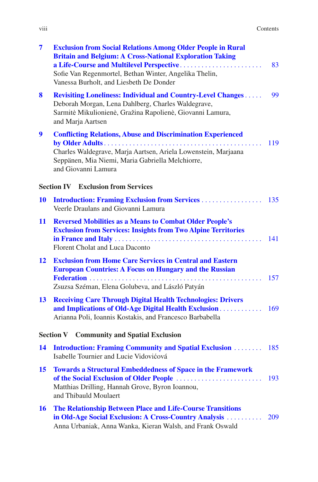| $\overline{\mathbf{7}}$ | <b>Exclusion from Social Relations Among Older People in Rural</b><br><b>Britain and Belgium: A Cross-National Exploration Taking</b><br>Sofie Van Regenmortel, Bethan Winter, Angelika Thelin,<br>Vanessa Burholt, and Liesbeth De Donder | 83  |
|-------------------------|--------------------------------------------------------------------------------------------------------------------------------------------------------------------------------------------------------------------------------------------|-----|
| 8                       | <b>Revisiting Loneliness: Individual and Country-Level Changes</b><br>Deborah Morgan, Lena Dahlberg, Charles Waldegrave,<br>Sarmitė Mikulionienė, Gražina Rapolienė, Giovanni Lamura,<br>and Marja Aartsen                                 | 99  |
| 9                       | <b>Conflicting Relations, Abuse and Discrimination Experienced</b><br>Charles Waldegrave, Marja Aartsen, Ariela Lowenstein, Marjaana<br>Seppänen, Mia Niemi, Maria Gabriella Melchiorre,<br>and Giovanni Lamura                            | 119 |
|                         | <b>Section IV Exclusion from Services</b>                                                                                                                                                                                                  |     |
| <b>10</b>               | <b>Introduction: Framing Exclusion from Services</b><br>Veerle Draulans and Giovanni Lamura                                                                                                                                                | 135 |
| 11                      | <b>Reversed Mobilities as a Means to Combat Older People's</b><br><b>Exclusion from Services: Insights from Two Alpine Territories</b><br>Florent Cholat and Luca Daconto                                                                  | 141 |
| 12                      | <b>Exclusion from Home Care Services in Central and Eastern</b><br><b>European Countries: A Focus on Hungary and the Russian</b><br>Zsuzsa Széman, Elena Golubeva, and László Patyán                                                       | 157 |
| 13                      | <b>Receiving Care Through Digital Health Technologies: Drivers</b><br>and Implications of Old-Age Digital Health Exclusion<br>Arianna Poli, Ioannis Kostakis, and Francesco Barbabella                                                     | 169 |
|                         | <b>Section V</b><br><b>Community and Spatial Exclusion</b>                                                                                                                                                                                 |     |
| 14                      | <b>Introduction: Framing Community and Spatial Exclusion </b><br>Isabelle Tournier and Lucie Vidovićová                                                                                                                                    | 185 |
| 15                      | <b>Towards a Structural Embeddedness of Space in the Framework</b><br>Matthias Drilling, Hannah Grove, Byron Ioannou,<br>and Thibauld Moulaert                                                                                             | 193 |
| <b>16</b>               | <b>The Relationship Between Place and Life-Course Transitions</b><br>in Old-Age Social Exclusion: A Cross-Country Analysis<br>Anna Urbaniak, Anna Wanka, Kieran Walsh, and Frank Oswald                                                    | 209 |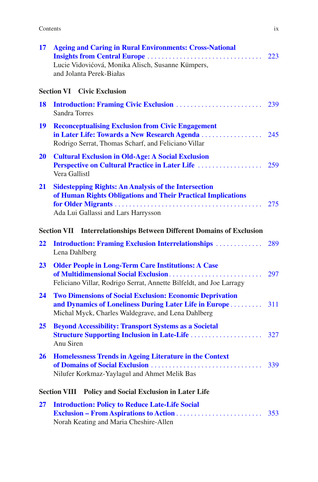| Contents |
|----------|
|----------|

| 17        | <b>Ageing and Caring in Rural Environments: Cross-National</b><br>Lucie Vidovićová, Monika Alisch, Susanne Kümpers,<br>and Jolanta Perek-Białas                                     | 223 |
|-----------|-------------------------------------------------------------------------------------------------------------------------------------------------------------------------------------|-----|
|           | <b>Section VI Civic Exclusion</b>                                                                                                                                                   |     |
| 18        | Sandra Torres                                                                                                                                                                       | 239 |
| 19        | <b>Reconceptualising Exclusion from Civic Engagement</b><br>Rodrigo Serrat, Thomas Scharf, and Feliciano Villar                                                                     |     |
| <b>20</b> | <b>Cultural Exclusion in Old-Age: A Social Exclusion</b><br>Vera Gallistl                                                                                                           |     |
| 21        | <b>Sidestepping Rights: An Analysis of the Intersection</b><br>of Human Rights Obligations and Their Practical Implications<br>Ada Lui Gallassi and Lars Harrysson                  |     |
|           | Section VII Interrelationships Between Different Domains of Exclusion                                                                                                               |     |
| 22        | <b>Introduction: Framing Exclusion Interrelationships </b><br>Lena Dahlberg                                                                                                         | 289 |
| 23        | <b>Older People in Long-Term Care Institutions: A Case</b><br>Feliciano Villar, Rodrigo Serrat, Annette Bilfeldt, and Joe Larragy                                                   | 297 |
| 24        | <b>Two Dimensions of Social Exclusion: Economic Deprivation</b><br>and Dynamics of Loneliness During Later Life in Europe 311<br>Michal Myck, Charles Waldegrave, and Lena Dahlberg |     |
| 25        | <b>Beyond Accessibility: Transport Systems as a Societal</b><br>Anu Siren                                                                                                           |     |
| <b>26</b> | <b>Homelessness Trends in Ageing Literature in the Context</b><br>Nilufer Korkmaz-Yaylagul and Ahmet Melik Bas                                                                      | 339 |
|           | <b>Section VIII</b><br>Policy and Social Exclusion in Later Life                                                                                                                    |     |
| 27        | <b>Introduction: Policy to Reduce Late-Life Social</b><br>Norah Keating and Maria Cheshire-Allen                                                                                    | 353 |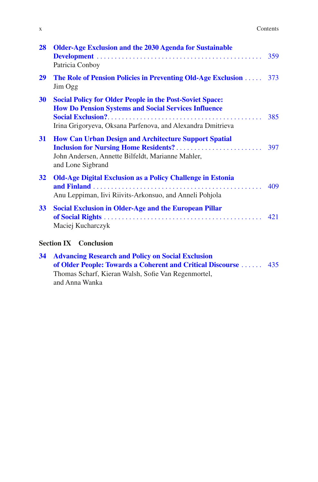| Contents |  |
|----------|--|
|----------|--|

| 28              | <b>Older-Age Exclusion and the 2030 Agenda for Sustainable</b><br>Patricia Conboy                                                                                                             |     |
|-----------------|-----------------------------------------------------------------------------------------------------------------------------------------------------------------------------------------------|-----|
| 29              | The Role of Pension Policies in Preventing Old-Age Exclusion  373<br>Jim Ogg                                                                                                                  |     |
| 30              | <b>Social Policy for Older People in the Post-Soviet Space:</b><br><b>How Do Pension Systems and Social Services Influence</b><br>Irina Grigoryeva, Oksana Parfenova, and Alexandra Dmitrieva | 385 |
| 31              | <b>How Can Urban Design and Architecture Support Spatial</b><br>John Andersen, Annette Bilfeldt, Marianne Mahler,<br>and Lone Sigbrand                                                        | 397 |
| 32              | <b>Old-Age Digital Exclusion as a Policy Challenge in Estonia</b><br>Anu Leppiman, Iivi Riivits-Arkonsuo, and Anneli Pohjola                                                                  | 409 |
| 33 <sup>°</sup> | <b>Social Exclusion in Older-Age and the European Pillar</b><br>Maciej Kucharczyk                                                                                                             | 421 |
|                 | <b>Section IX</b> Conclusion                                                                                                                                                                  |     |
| 34              | <b>Advancing Research and Policy on Social Exclusion</b>                                                                                                                                      |     |

x

| of Older People: Towards a Coherent and Critical Discourse  435 |  |
|-----------------------------------------------------------------|--|
| Thomas Scharf, Kieran Walsh, Sofie Van Regenmortel,             |  |
| and Anna Wanka                                                  |  |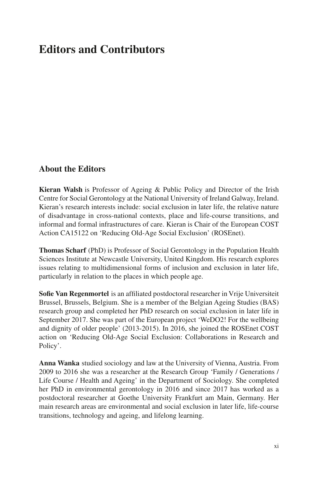## **Editors and Contributors**

## **About the Editors**

**Kieran Walsh** is Professor of Ageing & Public Policy and Director of the Irish Centre for Social Gerontology at the National University of Ireland Galway, Ireland. Kieran's research interests include: social exclusion in later life, the relative nature of disadvantage in cross-national contexts, place and life-course transitions, and informal and formal infrastructures of care. Kieran is Chair of the European COST Action CA15122 on 'Reducing Old-Age Social Exclusion' (ROSEnet).

**Thomas Scharf** (PhD) is Professor of Social Gerontology in the Population Health Sciences Institute at Newcastle University, United Kingdom. His research explores issues relating to multidimensional forms of inclusion and exclusion in later life, particularly in relation to the places in which people age.

**Sofe Van Regenmortel** is an affliated postdoctoral researcher in Vrije Universiteit Brussel, Brussels, Belgium. She is a member of the Belgian Ageing Studies (BAS) research group and completed her PhD research on social exclusion in later life in September 2017. She was part of the European project 'WeDO2! For the wellbeing and dignity of older people' (2013-2015). In 2016, she joined the ROSEnet COST action on 'Reducing Old-Age Social Exclusion: Collaborations in Research and Policy'.

**Anna Wanka** studied sociology and law at the University of Vienna, Austria. From 2009 to 2016 she was a researcher at the Research Group 'Family / Generations / Life Course / Health and Ageing' in the Department of Sociology. She completed her PhD in environmental gerontology in 2016 and since 2017 has worked as a postdoctoral researcher at Goethe University Frankfurt am Main, Germany. Her main research areas are environmental and social exclusion in later life, life-course transitions, technology and ageing, and lifelong learning.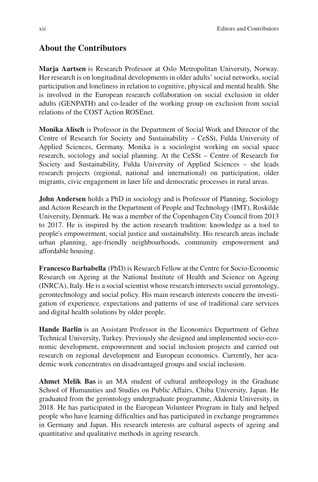#### **About the Contributors**

**Marja Aartsen** is Research Professor at Oslo Metropolitan University, Norway. Her research is on longitudinal developments in older adults' social networks, social participation and loneliness in relation to cognitive, physical and mental health. She is involved in the European research collaboration on social exclusion in older adults (GENPATH) and co-leader of the working group on exclusion from social relations of the COST Action ROSEnet.

**Monika Alisch** is Professor in the Department of Social Work and Director of the Centre of Research for Society and Sustainability – CeSSt, Fulda University of Applied Sciences, Germany. Monika is a sociologist working on social space research, sociology and social planning. At the CeSSt – Centre of Research for Society and Sustainability, Fulda University of Applied Sciences – she leads research projects (regional, national and international) on participation, older migrants, civic engagement in later life and democratic processes in rural areas.

**John Andersen** holds a PhD in sociology and is Professor of Planning, Sociology and Action Research in the Department of People and Technology (IMT), Roskilde University, Denmark. He was a member of the Copenhagen City Council from 2013 to 2017. He is inspired by the action research tradition: knowledge as a tool to people's empowerment, social justice and sustainability. His research areas include urban planning, age-friendly neighbourhoods, community empowerment and affordable housing.

**Francesco Barbabella** (PhD) is Research Fellow at the Centre for Socio-Economic Research on Ageing at the National Institute of Health and Science on Ageing (INRCA), Italy. He is a social scientist whose research intersects social gerontology, gerontechnology and social policy. His main research interests concern the investigation of experience, expectations and patterns of use of traditional care services and digital health solutions by older people.

**Hande Barlin** is an Assistant Professor in the Economics Department of Gebze Technical University, Turkey. Previously she designed and implemented socio-economic development, empowerment and social inclusion projects and carried out research on regional development and European economics. Currently, her academic work concentrates on disadvantaged groups and social inclusion.

**Ahmet Melik Bas** is an MA student of cultural anthropology in the Graduate School of Humanities and Studies on Public Affairs, Chiba University, Japan. He graduated from the gerontology undergraduate programme, Akdeniz University, in 2018. He has participated in the European Volunteer Program in Italy and helped people who have learning diffculties and has participated in exchange programmes in Germany and Japan. His research interests are cultural aspects of ageing and quantitative and qualitative methods in ageing research.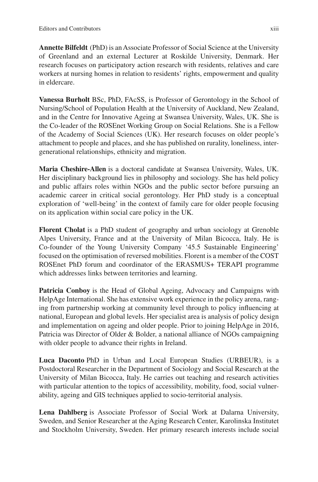**Annette Bilfeldt** (PhD) is an Associate Professor of Social Science at the University of Greenland and an external Lecturer at Roskilde University, Denmark. Her research focuses on participatory action research with residents, relatives and care workers at nursing homes in relation to residents' rights, empowerment and quality in eldercare.

**Vanessa Burholt** BSc, PhD, FAcSS, is Professor of Gerontology in the School of Nursing/School of Population Health at the University of Auckland, New Zealand, and in the Centre for Innovative Ageing at Swansea University, Wales, UK. She is the Co-leader of the ROSEnet Working Group on Social Relations. She is a Fellow of the Academy of Social Sciences (UK). Her research focuses on older people's attachment to people and places, and she has published on rurality, loneliness, intergenerational relationships, ethnicity and migration.

**Maria Cheshire-Allen** is a doctoral candidate at Swansea University, Wales, UK. Her disciplinary background lies in philosophy and sociology. She has held policy and public affairs roles within NGOs and the public sector before pursuing an academic career in critical social gerontology. Her PhD study is a conceptual exploration of 'well-being' in the context of family care for older people focusing on its application within social care policy in the UK.

**Florent Cholat** is a PhD student of geography and urban sociology at Grenoble Alpes University, France and at the University of Milan Bicocca, Italy. He is Co-founder of the Young University Company '45.5 Sustainable Engineering' focused on the optimisation of reversed mobilities. Florent is a member of the COST ROSEnet PhD forum and coordinator of the ERASMUS+ TERAPI programme which addresses links between territories and learning.

**Patricia Conboy** is the Head of Global Ageing, Advocacy and Campaigns with HelpAge International. She has extensive work experience in the policy arena, ranging from partnership working at community level through to policy infuencing at national, European and global levels. Her specialist area is analysis of policy design and implementation on ageing and older people. Prior to joining HelpAge in 2016, Patricia was Director of Older & Bolder, a national alliance of NGOs campaigning with older people to advance their rights in Ireland.

**Luca Daconto** PhD in Urban and Local European Studies (URBEUR), is a Postdoctoral Researcher in the Department of Sociology and Social Research at the University of Milan Bicocca, Italy. He carries out teaching and research activities with particular attention to the topics of accessibility, mobility, food, social vulnerability, ageing and GIS techniques applied to socio-territorial analysis.

**Lena Dahlberg** is Associate Professor of Social Work at Dalarna University, Sweden, and Senior Researcher at the Aging Research Center, Karolinska Institutet and Stockholm University, Sweden. Her primary research interests include social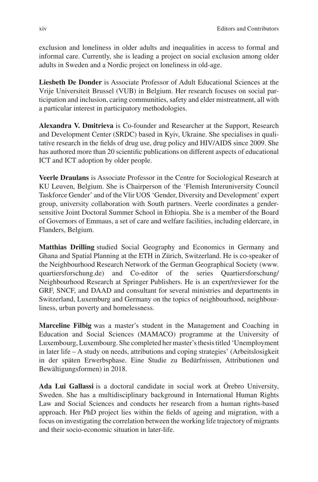exclusion and loneliness in older adults and inequalities in access to formal and informal care. Currently, she is leading a project on social exclusion among older adults in Sweden and a Nordic project on loneliness in old-age.

**Liesbeth De Donder** is Associate Professor of Adult Educational Sciences at the Vrije Universiteit Brussel (VUB) in Belgium. Her research focuses on social participation and inclusion, caring communities, safety and elder mistreatment, all with a particular interest in participatory methodologies.

**Alexandra V. Dmitrieva** is Co-founder and Researcher at the Support, Research and Development Center (SRDC) based in Kyiv, Ukraine. She specialises in qualitative research in the felds of drug use, drug policy and HIV/AIDS since 2009. She has authored more than 20 scientifc publications on different aspects of educational ICT and ICT adoption by older people.

**Veerle Draulans** is Associate Professor in the Centre for Sociological Research at KU Leuven, Belgium. She is Chairperson of the 'Flemish Interuniversity Council Taskforce Gender' and of the Vlir UOS 'Gender, Diversity and Development' expert group, university collaboration with South partners. Veerle coordinates a gendersensitive Joint Doctoral Summer School in Ethiopia. She is a member of the Board of Governors of Emmaus, a set of care and welfare facilities, including eldercare, in Flanders, Belgium.

**Matthias Drilling** studied Social Geography and Economics in Germany and Ghana and Spatial Planning at the ETH in Zürich, Switzerland. He is co-speaker of the Neighbourhood Research Network of the German Geographical Society (www. quartiersforschung.de) and Co-editor of the series Quartiersforschung/ Neighbourhood Research at Springer Publishers. He is an expert/reviewer for the GRF, SNCF, and DAAD and consultant for several ministries and departments in Switzerland, Luxemburg and Germany on the topics of neighbourhood, neighbourliness, urban poverty and homelessness.

**Marceline Filbig** was a master's student in the Management and Coaching in Education and Social Sciences (MAMACO) programme at the University of Luxembourg, Luxembourg. She completed her master's thesis titled 'Unemployment in later life – A study on needs, attributions and coping strategies' (Arbeitslosigkeit in der späten Erwerbsphase. Eine Studie zu Bedürfnissen, Attributionen und Bewältigungsformen) in 2018.

**Ada Lui Gallassi** is a doctoral candidate in social work at Örebro University, Sweden. She has a multidisciplinary background in International Human Rights Law and Social Sciences and conducts her research from a human rights-based approach. Her PhD project lies within the felds of ageing and migration, with a focus on investigating the correlation between the working life trajectory of migrants and their socio-economic situation in later-life.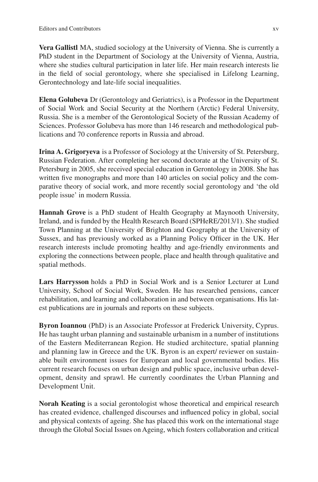**Vera Gallistl** MA, studied sociology at the University of Vienna. She is currently a PhD student in the Department of Sociology at the University of Vienna, Austria, where she studies cultural participation in later life. Her main research interests lie in the feld of social gerontology, where she specialised in Lifelong Learning, Gerontechnology and late-life social inequalities.

**Elena Golubeva** Dr (Gerontology and Geriatrics), is a Professor in the Department of Social Work and Social Security at the Northern (Arctic) Federal University, Russia. She is a member of the Gerontological Society of the Russian Academy of Sciences. Professor Golubeva has more than 146 research and methodological publications and 70 conference reports in Russia and abroad.

**Irina A. Grigoryeva** is a Professor of Sociology at the University of St. Petersburg, Russian Federation. After completing her second doctorate at the University of St. Petersburg in 2005, she received special education in Gerontology in 2008. She has written five monographs and more than 140 articles on social policy and the comparative theory of social work, and more recently social gerontology and 'the old people issue' in modern Russia.

**Hannah Grove** is a PhD student of Health Geography at Maynooth University, Ireland, and is funded by the Health Research Board (SPHeRE/2013/1). She studied Town Planning at the University of Brighton and Geography at the University of Sussex, and has previously worked as a Planning Policy Officer in the UK. Her research interests include promoting healthy and age-friendly environments and exploring the connections between people, place and health through qualitative and spatial methods.

**Lars Harrysson** holds a PhD in Social Work and is a Senior Lecturer at Lund University, School of Social Work, Sweden. He has researched pensions, cancer rehabilitation, and learning and collaboration in and between organisations. His latest publications are in journals and reports on these subjects.

**Byron Ioannou** (PhD) is an Associate Professor at Frederick University, Cyprus. He has taught urban planning and sustainable urbanism in a number of institutions of the Eastern Mediterranean Region. He studied architecture, spatial planning and planning law in Greece and the UK. Byron is an expert/ reviewer on sustainable built environment issues for European and local governmental bodies. His current research focuses on urban design and public space, inclusive urban development, density and sprawl. He currently coordinates the Urban Planning and Development Unit.

**Norah Keating** is a social gerontologist whose theoretical and empirical research has created evidence, challenged discourses and infuenced policy in global, social and physical contexts of ageing. She has placed this work on the international stage through the Global Social Issues on Ageing, which fosters collaboration and critical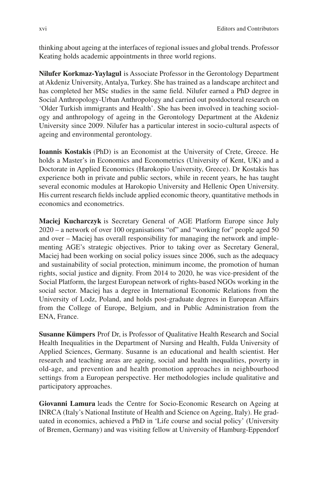thinking about ageing at the interfaces of regional issues and global trends. Professor Keating holds academic appointments in three world regions.

**Nilufer Korkmaz-Yaylagul** is Associate Professor in the Gerontology Department at Akdeniz University, Antalya, Turkey. She has trained as a landscape architect and has completed her MSc studies in the same feld. Nilufer earned a PhD degree in Social Anthropology-Urban Anthropology and carried out postdoctoral research on 'Older Turkish immigrants and Health'. She has been involved in teaching sociology and anthropology of ageing in the Gerontology Department at the Akdeniz University since 2009. Nilufer has a particular interest in socio-cultural aspects of ageing and environmental gerontology.

**Ioannis Kostakis** (PhD) is an Economist at the University of Crete, Greece. He holds a Master's in Economics and Econometrics (University of Kent, UK) and a Doctorate in Applied Economics (Harokopio University, Greece). Dr Kostakis has experience both in private and public sectors, while in recent years, he has taught several economic modules at Harokopio University and Hellenic Open University. His current research felds include applied economic theory, quantitative methods in economics and econometrics.

**Maciej Kucharczyk** is Secretary General of AGE Platform Europe since July 2020 – a network of over 100 organisations "of" and "working for" people aged 50 and over – Maciej has overall responsibility for managing the network and implementing AGE's strategic objectives. Prior to taking over as Secretary General, Maciej had been working on social policy issues since 2006, such as the adequacy and sustainability of social protection, minimum income, the promotion of human rights, social justice and dignity. From 2014 to 2020, he was vice-president of the Social Platform, the largest European network of rights-based NGOs working in the social sector. Maciej has a degree in International Economic Relations from the University of Lodz, Poland, and holds post-graduate degrees in European Affairs from the College of Europe, Belgium, and in Public Administration from the ENA, France.

**Susanne Kümpers** Prof Dr, is Professor of Qualitative Health Research and Social Health Inequalities in the Department of Nursing and Health, Fulda University of Applied Sciences, Germany. Susanne is an educational and health scientist. Her research and teaching areas are ageing, social and health inequalities, poverty in old-age, and prevention and health promotion approaches in neighbourhood settings from a European perspective. Her methodologies include qualitative and participatory approaches.

**Giovanni Lamura** leads the Centre for Socio-Economic Research on Ageing at INRCA (Italy's National Institute of Health and Science on Ageing, Italy). He graduated in economics, achieved a PhD in 'Life course and social policy' (University of Bremen, Germany) and was visiting fellow at University of Hamburg-Eppendorf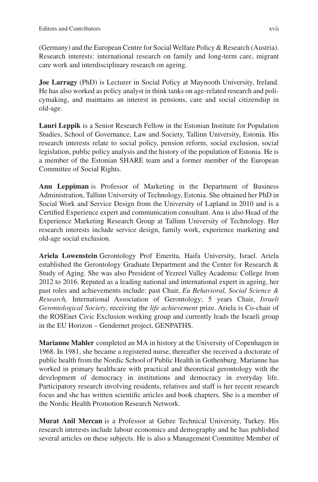(Germany) and the European Centre for Social Welfare Policy & Research (Austria). Research interests: international research on family and long-term care, migrant care work and interdisciplinary research on ageing.

**Joe Larragy** (PhD) is Lecturer in Social Policy at Maynooth University, Ireland. He has also worked as policy analyst in think tanks on age-related research and policymaking, and maintains an interest in pensions, care and social citizenship in old-age.

**Lauri Leppik** is a Senior Research Fellow in the Estonian Institute for Population Studies, School of Governance, Law and Society, Tallinn University, Estonia. His research interests relate to social policy, pension reform, social exclusion, social legislation, public policy analysis and the history of the population of Estonia. He is a member of the Estonian SHARE team and a former member of the European Committee of Social Rights.

**Anu Leppiman** is Professor of Marketing in the Department of Business Administration, Tallinn University of Technology, Estonia. She obtained her PhD in Social Work and Service Design from the University of Lapland in 2010 and is a Certifed Experience expert and communication consultant. Anu is also Head of the Experience Marketing Research Group at Tallinn University of Technology. Her research interests include service design, family work, experience marketing and old-age social exclusion.

**Ariela Lowenstein** Gerontology Prof Emerita, Haifa University, Israel. Ariela established the Gerontology Graduate Department and the Center for Research & Study of Aging. She was also President of Yezreel Valley Academic College from 2012 to 2016. Reputed as a leading national and international expert in ageing, her past roles and achievements include: past Chair, *Eu Behavioral, Social Science & Research,* International Association of Gerontology; 5 years Chair, *Israeli Gerontological Society*, receiving the *life achievement* prize. Ariela is Co-chair of the ROSEnet Civic Exclusion working group and currently leads the Israeli group in the EU Horizon – Gendernet project, GENPATHS.

**Marianne Mahler** completed an MA in history at the University of Copenhagen in 1968. In 1981, she became a registered nurse, thereafter she received a doctorate of public health from the Nordic School of Public Health in Gothenburg. Marianne has worked in primary healthcare with practical and theoretical gerontology with the development of democracy in institutions and democracy in everyday life. Participatory research involving residents, relatives and staff is her recent research focus and she has written scientifc articles and book chapters. She is a member of the Nordic Health Promotion Research Network.

**Murat Anil Mercan** is a Professor at Gebze Technical University, Turkey. His research interests include labour economics and demography and he has published several articles on these subjects. He is also a Management Committee Member of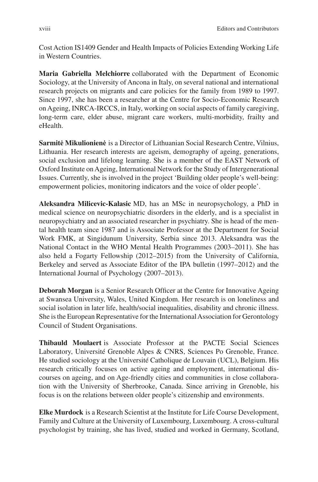Cost Action IS1409 Gender and Health Impacts of Policies Extending Working Life in Western Countries.

**Maria Gabriella Melchiorre** collaborated with the Department of Economic Sociology, at the University of Ancona in Italy, on several national and international research projects on migrants and care policies for the family from 1989 to 1997. Since 1997, she has been a researcher at the Centre for Socio-Economic Research on Ageing, INRCA-IRCCS, in Italy, working on social aspects of family caregiving, long-term care, elder abuse, migrant care workers, multi-morbidity, frailty and eHealth.

**Sarmitė Mikulionienė** is a Director of Lithuanian Social Research Centre, Vilnius, Lithuania. Her research interests are ageism, demography of ageing, generations, social exclusion and lifelong learning. She is a member of the EAST Network of Oxford Institute on Ageing, International Network for the Study of Intergenerational Issues. Currently, she is involved in the project 'Building older people's well-being: empowerment policies, monitoring indicators and the voice of older people'.

**Aleksandra Milicevic-Kalasic** MD, has an MSc in neuropsychology, a PhD in medical science on neuropsychiatric disorders in the elderly, and is a specialist in neuropsychiatry and an associated researcher in psychiatry. She is head of the mental health team since 1987 and is Associate Professor at the Department for Social Work FMK, at Singidunum University, Serbia since 2013. Aleksandra was the National Contact in the WHO Mental Health Programmes (2003–2011). She has also held a Fogarty Fellowship (2012–2015) from the University of California, Berkeley and served as Associate Editor of the IPA bulletin (1997–2012) and the International Journal of Psychology (2007–2013).

**Deborah Morgan** is a Senior Research Officer at the Centre for Innovative Ageing at Swansea University, Wales, United Kingdom. Her research is on loneliness and social isolation in later life, health/social inequalities, disability and chronic illness. She is the European Representative for the International Association for Gerontology Council of Student Organisations.

**Thibauld Moulaert** is Associate Professor at the PACTE Social Sciences Laboratory, Université Grenoble Alpes & CNRS, Sciences Po Grenoble, France. He studied sociology at the Université Catholique de Louvain (UCL), Belgium. His research critically focuses on active ageing and employment, international discourses on ageing, and on Age-friendly cities and communities in close collaboration with the University of Sherbrooke, Canada. Since arriving in Grenoble, his focus is on the relations between older people's citizenship and environments.

**Elke Murdock** is a Research Scientist at the Institute for Life Course Development, Family and Culture at the University of Luxembourg, Luxembourg. A cross-cultural psychologist by training, she has lived, studied and worked in Germany, Scotland,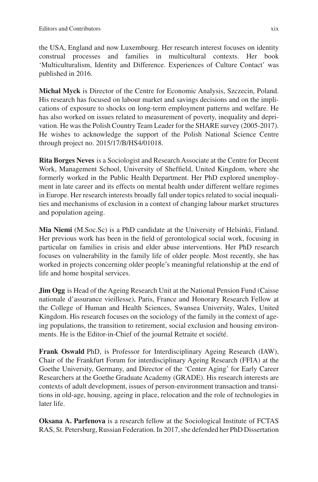the USA, England and now Luxembourg. Her research interest focuses on identity construal processes and families in multicultural contexts. Her book 'Multiculturalism, Identity and Difference. Experiences of Culture Contact' was published in 2016.

**Michal Myck** is Director of the Centre for Economic Analysis, Szczecin, Poland. His research has focused on labour market and savings decisions and on the implications of exposure to shocks on long-term employment patterns and welfare. He has also worked on issues related to measurement of poverty, inequality and deprivation. He was the Polish Country Team Leader for the SHARE survey (2005-2017). He wishes to acknowledge the support of the Polish National Science Centre through project no. 2015/17/B/HS4/01018.

**Rita Borges Neves** is a Sociologist and Research Associate at the Centre for Decent Work, Management School, University of Sheffeld, United Kingdom, where she formerly worked in the Public Health Department. Her PhD explored unemployment in late career and its effects on mental health under different welfare regimes in Europe. Her research interests broadly fall under topics related to social inequalities and mechanisms of exclusion in a context of changing labour market structures and population ageing.

**Mia Niemi** (M.Soc.Sc) is a PhD candidate at the University of Helsinki, Finland. Her previous work has been in the feld of gerontological social work, focusing in particular on families in crisis and elder abuse interventions. Her PhD research focuses on vulnerability in the family life of older people. Most recently, she has worked in projects concerning older people's meaningful relationship at the end of life and home hospital services.

**Jim Ogg** is Head of the Ageing Research Unit at the National Pension Fund (Caisse nationale d'assurance vieillesse), Paris, France and Honorary Research Fellow at the College of Human and Health Sciences, Swansea University, Wales, United Kingdom. His research focuses on the sociology of the family in the context of ageing populations, the transition to retirement, social exclusion and housing environments. He is the Editor-in-Chief of the journal Retraite et société.

**Frank Oswald** PhD, is Professor for Interdisciplinary Ageing Research (IAW), Chair of the Frankfurt Forum for interdisciplinary Ageing Research (FFIA) at the Goethe University, Germany, and Director of the 'Center Aging' for Early Career Researchers at the Goethe Graduate Academy (GRADE). His research interests are contexts of adult development, issues of person-environment transaction and transitions in old-age, housing, ageing in place, relocation and the role of technologies in later life.

**Oksana A. Parfenova** is a research fellow at the Sociological Institute of FCTAS RAS, St. Petersburg, Russian Federation. In 2017, she defended her PhD Dissertation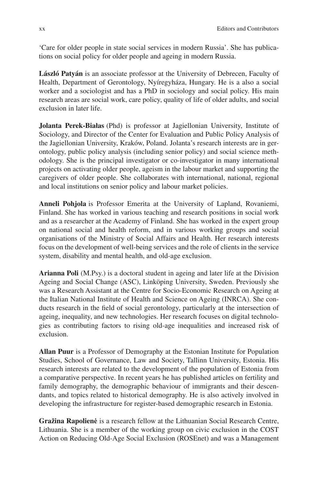'Care for older people in state social services in modern Russia'. She has publications on social policy for older people and ageing in modern Russia.

**László Patyán** is an associate professor at the University of Debrecen, Faculty of Health, Department of Gerontology, Nyíregyháza, Hungary. He is a also a social worker and a sociologist and has a PhD in sociology and social policy. His main research areas are social work, care policy, quality of life of older adults, and social exclusion in later life.

**Jolanta Perek-Białas** (Phd) is professor at Jagiellonian University, Institute of Sociology, and Director of the Center for Evaluation and Public Policy Analysis of the Jagiellonian University, Kraków, Poland. Jolanta's research interests are in gerontology, public policy analysis (including senior policy) and social science methodology. She is the principal investigator or co-investigator in many international projects on activating older people, ageism in the labour market and supporting the caregivers of older people. She collaborates with international, national, regional and local institutions on senior policy and labour market policies.

**Anneli Pohjola** is Professor Emerita at the University of Lapland, Rovaniemi, Finland. She has worked in various teaching and research positions in social work and as a researcher at the Academy of Finland. She has worked in the expert group on national social and health reform, and in various working groups and social organisations of the Ministry of Social Affairs and Health. Her research interests focus on the development of well-being services and the role of clients in the service system, disability and mental health, and old-age exclusion.

**Arianna Poli** (M.Psy.) is a doctoral student in ageing and later life at the Division Ageing and Social Change (ASC), Linköping University, Sweden. Previously she was a Research Assistant at the Centre for Socio-Economic Research on Ageing at the Italian National Institute of Health and Science on Ageing (INRCA). She conducts research in the feld of social gerontology, particularly at the intersection of ageing, inequality, and new technologies. Her research focuses on digital technologies as contributing factors to rising old-age inequalities and increased risk of exclusion.

**Allan Puur** is a Professor of Demography at the Estonian Institute for Population Studies, School of Governance, Law and Society, Tallinn University, Estonia. His research interests are related to the development of the population of Estonia from a comparative perspective. In recent years he has published articles on fertility and family demography, the demographic behaviour of immigrants and their descendants, and topics related to historical demography. He is also actively involved in developing the infrastructure for register-based demographic research in Estonia.

**Gražina Rapolienė** is a research fellow at the Lithuanian Social Research Centre, Lithuania. She is a member of the working group on civic exclusion in the COST Action on Reducing Old-Age Social Exclusion (ROSEnet) and was a Management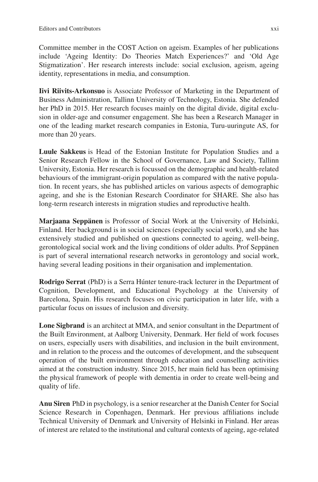Committee member in the COST Action on ageism. Examples of her publications include 'Ageing Identity: Do Theories Match Experiences?' and 'Old Age Stigmatization'. Her research interests include: social exclusion, ageism, ageing identity, representations in media, and consumption.

**Iivi Riivits-Arkonsuo** is Associate Professor of Marketing in the Department of Business Administration, Tallinn University of Technology, Estonia. She defended her PhD in 2015. Her research focuses mainly on the digital divide, digital exclusion in older-age and consumer engagement. She has been a Research Manager in one of the leading market research companies in Estonia, Turu-uuringute AS, for more than 20 years.

**Luule Sakkeus** is Head of the Estonian Institute for Population Studies and a Senior Research Fellow in the School of Governance, Law and Society, Tallinn University, Estonia. Her research is focussed on the demographic and health-related behaviours of the immigrant-origin population as compared with the native population. In recent years, she has published articles on various aspects of demographic ageing, and she is the Estonian Research Coordinator for SHARE. She also has long-term research interests in migration studies and reproductive health.

**Marjaana Seppänen** is Professor of Social Work at the University of Helsinki, Finland. Her background is in social sciences (especially social work), and she has extensively studied and published on questions connected to ageing, well-being, gerontological social work and the living conditions of older adults. Prof Seppänen is part of several international research networks in gerontology and social work, having several leading positions in their organisation and implementation.

**Rodrigo Serrat** (PhD) is a Serra Húnter tenure-track lecturer in the Department of Cognition, Development, and Educational Psychology at the University of Barcelona, Spain. His research focuses on civic participation in later life, with a particular focus on issues of inclusion and diversity.

**Lone Sigbrand** is an architect at MMA, and senior consultant in the Department of the Built Environment, at Aalborg University, Denmark. Her feld of work focuses on users, especially users with disabilities, and inclusion in the built environment, and in relation to the process and the outcomes of development, and the subsequent operation of the built environment through education and counselling activities aimed at the construction industry. Since 2015, her main feld has been optimising the physical framework of people with dementia in order to create well-being and quality of life.

**Anu Siren** PhD in psychology, is a senior researcher at the Danish Center for Social Science Research in Copenhagen, Denmark. Her previous affliations include Technical University of Denmark and University of Helsinki in Finland. Her areas of interest are related to the institutional and cultural contexts of ageing, age-related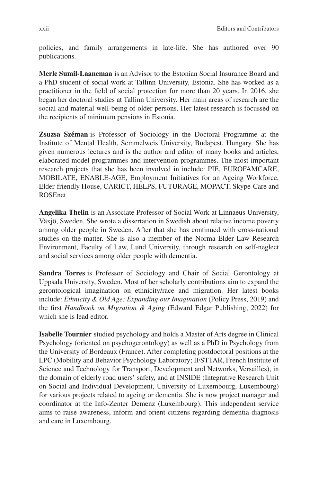policies, and family arrangements in late-life. She has authored over 90 publications.

**Merle Sumil-Laanemaa** is an Advisor to the Estonian Social Insurance Board and a PhD student of social work at Tallinn University, Estonia. She has worked as a practitioner in the feld of social protection for more than 20 years. In 2016, she began her doctoral studies at Tallinn University. Her main areas of research are the social and material well-being of older persons. Her latest research is focussed on the recipients of minimum pensions in Estonia.

**Zsuzsa Széman** is Professor of Sociology in the Doctoral Programme at the Institute of Mental Health, Semmelweis University, Budapest, Hungary. She has given numerous lectures and is the author and editor of many books and articles, elaborated model programmes and intervention programmes. The most important research projects that she has been involved in include: PIE, EUROFAMCARE, MOBILATE, ENABLE-AGE, Employment Initiatives for an Ageing Workforce, Elder-friendly House, CARICT, HELPS, FUTURAGE, MOPACT, Skype-Care and ROSEnet.

**Angelika Thelin** is an Associate Professor of Social Work at Linnaeus University, Växjö, Sweden. She wrote a dissertation in Swedish about relative income poverty among older people in Sweden. After that she has continued with cross-national studies on the matter. She is also a member of the Norma Elder Law Research Environment, Faculty of Law, Lund University, through research on self-neglect and social services among older people with dementia.

**Sandra Torres** is Professor of Sociology and Chair of Social Gerontology at Uppsala University, Sweden. Most of her scholarly contributions aim to expand the gerontological imagination on ethnicity/race and migration. Her latest books include: *Ethnicity & Old Age: Expanding our Imagination* (Policy Press, 2019) and the frst *Handbook on Migration & Aging* (Edward Edgar Publishing, 2022) for which she is lead editor.

**Isabelle Tournier** studied psychology and holds a Master of Arts degree in Clinical Psychology (oriented on psychogerontology) as well as a PhD in Psychology from the University of Bordeaux (France). After completing postdoctoral positions at the LPC (Mobility and Behavior Psychology Laboratory; IFSTTAR, French Institute of Science and Technology for Transport, Development and Networks, Versailles), in the domain of elderly road users' safety, and at INSIDE (Integrative Research Unit on Social and Individual Development, University of Luxembourg, Luxembourg) for various projects related to ageing or dementia. She is now project manager and coordinator at the Info-Zenter Demenz (Luxembourg). This independent service aims to raise awareness, inform and orient citizens regarding dementia diagnosis and care in Luxembourg.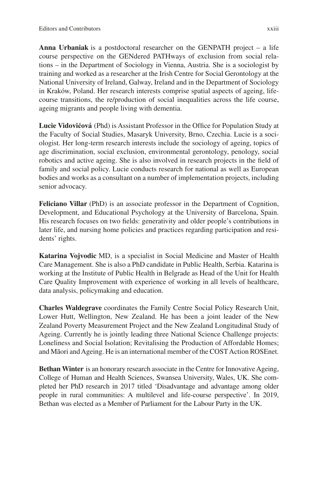**Anna Urbaniak** is a postdoctoral researcher on the GENPATH project – a life course perspective on the GENdered PATHways of exclusion from social relations – in the Department of Sociology in Vienna, Austria. She is a sociologist by training and worked as a researcher at the Irish Centre for Social Gerontology at the National University of Ireland, Galway, Ireland and in the Department of Sociology in Kraków, Poland. Her research interests comprise spatial aspects of ageing, lifecourse transitions, the re/production of social inequalities across the life course, ageing migrants and people living with dementia.

**Lucie Vidovićová** (Phd) is Assistant Professor in the Offce for Population Study at the Faculty of Social Studies, Masaryk University, Brno, Czechia. Lucie is a sociologist. Her long-term research interests include the sociology of ageing, topics of age discrimination, social exclusion, environmental gerontology, penology, social robotics and active ageing. She is also involved in research projects in the feld of family and social policy. Lucie conducts research for national as well as European bodies and works as a consultant on a number of implementation projects, including senior advocacy.

**Feliciano Villar** (PhD) is an associate professor in the Department of Cognition, Development, and Educational Psychology at the University of Barcelona, Spain. His research focuses on two felds: generativity and older people's contributions in later life, and nursing home policies and practices regarding participation and residents' rights.

**Katarina Vojvodic** MD, is a specialist in Social Medicine and Master of Health Care Management. She is also a PhD candidate in Public Health, Serbia. Katarina is working at the Institute of Public Health in Belgrade as Head of the Unit for Health Care Quality Improvement with experience of working in all levels of healthcare, data analysis, policymaking and education.

**Charles Waldegrave** coordinates the Family Centre Social Policy Research Unit, Lower Hutt, Wellington, New Zealand. He has been a joint leader of the New Zealand Poverty Measurement Project and the New Zealand Longitudinal Study of Ageing. Currently he is jointly leading three National Science Challenge projects: Loneliness and Social Isolation; Revitalising the Production of Affordable Homes; and Māori and Ageing. He is an international member of the COST Action ROSEnet.

**Bethan Winter** is an honorary research associate in the Centre for Innovative Ageing, College of Human and Health Sciences, Swansea University, Wales, UK. She completed her PhD research in 2017 titled 'Disadvantage and advantage among older people in rural communities: A multilevel and life-course perspective'. In 2019, Bethan was elected as a Member of Parliament for the Labour Party in the UK.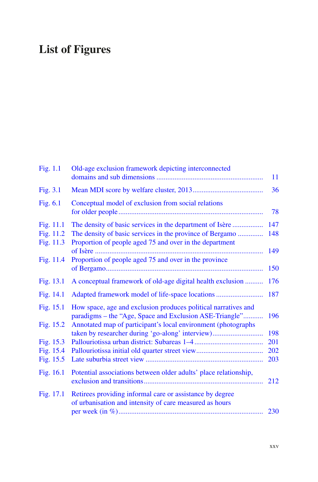# **List of Figures**

| Fig. 1.1               | Old-age exclusion framework depicting interconnected                                                                      | 11  |
|------------------------|---------------------------------------------------------------------------------------------------------------------------|-----|
| Fig. 3.1               |                                                                                                                           | 36  |
| Fig. 6.1               | Conceptual model of exclusion from social relations                                                                       | 78  |
| Fig. 11.1              | The density of basic services in the department of Isère                                                                  | 147 |
| Fig. 11.2<br>Fig. 11.3 | The density of basic services in the province of Bergamo<br>Proportion of people aged 75 and over in the department       | 148 |
| Fig. 11.4              | Proportion of people aged 75 and over in the province                                                                     | 149 |
|                        |                                                                                                                           | 150 |
| Fig. 13.1              | A conceptual framework of old-age digital health exclusion                                                                | 176 |
| Fig. $14.1$            |                                                                                                                           | 187 |
| Fig. $15.1$            | How space, age and exclusion produces political narratives and<br>paradigms – the "Age, Space and Exclusion ASE-Triangle" | 196 |
| Fig. 15.2              | Annotated map of participant's local environment (photographs<br>taken by researcher during 'go-along' interview)         | 198 |
| Fig. 15.3              |                                                                                                                           | 201 |
| Fig. 15.4              |                                                                                                                           | 202 |
| Fig. 15.5              |                                                                                                                           | 203 |
| Fig. $16.1$            | Potential associations between older adults' place relationship,                                                          | 212 |
| Fig. $17.1$            | Retirees providing informal care or assistance by degree<br>of urbanisation and intensity of care measured as hours       | 230 |
|                        |                                                                                                                           |     |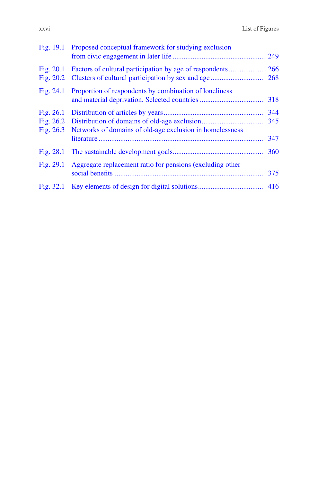|                                         | Fig. 19.1 Proposed conceptual framework for studying exclusion |                   |
|-----------------------------------------|----------------------------------------------------------------|-------------------|
| Fig. $20.1$<br>Fig. $20.2$              |                                                                | 266               |
| Fig. $24.1$                             | Proportion of respondents by combination of loneliness         |                   |
| Fig. $26.1$<br>Fig. 26.2<br>Fig. $26.3$ | Networks of domains of old-age exclusion in homelessness       | 344<br>345<br>347 |
| Fig. 28.1                               |                                                                | 360               |
| Fig. 29.1                               | Aggregate replacement ratio for pensions (excluding other      |                   |
| Fig. 32.1                               |                                                                |                   |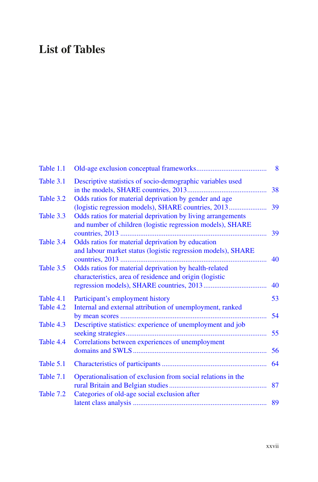# **List of Tables**

| Table 1.1 |                                                                                                                           |    |
|-----------|---------------------------------------------------------------------------------------------------------------------------|----|
| Table 3.1 | Descriptive statistics of socio-demographic variables used                                                                | 38 |
| Table 3.2 | Odds ratios for material deprivation by gender and age                                                                    | 39 |
| Table 3.3 | Odds ratios for material deprivation by living arrangements<br>and number of children (logistic regression models), SHARE | 39 |
| Table 3.4 | Odds ratios for material deprivation by education<br>and labour market status (logistic regression models), SHARE         | 40 |
| Table 3.5 | Odds ratios for material deprivation by health-related<br>characteristics, area of residence and origin (logistic         | 40 |
| Table 4.1 | Participant's employment history                                                                                          | 53 |
| Table 4.2 | Internal and external attribution of unemployment, ranked                                                                 | 54 |
| Table 4.3 | Descriptive statistics: experience of unemployment and job                                                                | 55 |
| Table 4.4 | Correlations between experiences of unemployment                                                                          | 56 |
| Table 5.1 |                                                                                                                           | 64 |
| Table 7.1 | Operationalisation of exclusion from social relations in the                                                              |    |
| Table 7.2 | Categories of old-age social exclusion after                                                                              |    |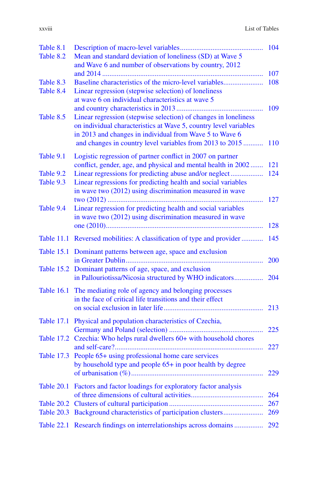| × |  |
|---|--|

| Table 8.1  |                                                                                                                                     |            |
|------------|-------------------------------------------------------------------------------------------------------------------------------------|------------|
| Table 8.2  | Mean and standard deviation of loneliness (SD) at Wave 5<br>and Wave 6 and number of observations by country, 2012                  |            |
|            |                                                                                                                                     | 107        |
| Table 8.3  | Baseline characteristics of the micro-level variables                                                                               | 108        |
| Table 8.4  | Linear regression (stepwise selection) of loneliness                                                                                |            |
|            | at wave 6 on individual characteristics at wave 5                                                                                   |            |
|            |                                                                                                                                     | 109        |
| Table 8.5  | Linear regression (stepwise selection) of changes in loneliness<br>on individual characteristics at Wave 5, country level variables |            |
|            | in 2013 and changes in individual from Wave 5 to Wave 6                                                                             |            |
|            | and changes in country level variables from 2013 to 2015                                                                            | <b>110</b> |
| Table 9.1  | Logistic regression of partner conflict in 2007 on partner                                                                          |            |
|            | conflict, gender, age, and physical and mental health in 2002                                                                       | 121        |
| Table 9.2  | Linear regressions for predicting abuse and/or neglect                                                                              | 124        |
| Table 9.3  | Linear regressions for predicting health and social variables                                                                       |            |
|            | in wave two (2012) using discrimination measured in wave                                                                            |            |
| Table 9.4  | Linear regression for predicting health and social variables                                                                        | 127        |
|            | in wave two (2012) using discrimination measured in wave                                                                            |            |
|            |                                                                                                                                     | 128        |
|            | Table 11.1 Reversed mobilities: A classification of type and provider                                                               | 145        |
|            | Table 15.1 Dominant patterns between age, space and exclusion                                                                       |            |
|            |                                                                                                                                     | 200        |
|            | Table 15.2 Dominant patterns of age, space, and exclusion                                                                           |            |
|            | in Pallouriotissa/Nicosia structured by WHO indicators                                                                              | 204        |
|            | Table 16.1 The mediating role of agency and belonging processes                                                                     |            |
|            | in the face of critical life transitions and their effect                                                                           |            |
|            |                                                                                                                                     | 213        |
|            | Table 17.1 Physical and population characteristics of Czechia,                                                                      |            |
|            | Table 17.2 Czechia: Who helps rural dwellers 60+ with household chores                                                              | 225        |
|            |                                                                                                                                     | 227        |
|            | Table 17.3 People 65+ using professional home care services                                                                         |            |
|            | by household type and people 65+ in poor health by degree                                                                           |            |
|            |                                                                                                                                     | 229        |
| Table 20.1 | Factors and factor loadings for exploratory factor analysis                                                                         |            |
|            |                                                                                                                                     | 264        |
| Table 20.2 |                                                                                                                                     | 267        |
| Table 20.3 | Background characteristics of participation clusters                                                                                | 269        |
|            | Table 22.1 Research findings on interrelationships across domains                                                                   | 292        |